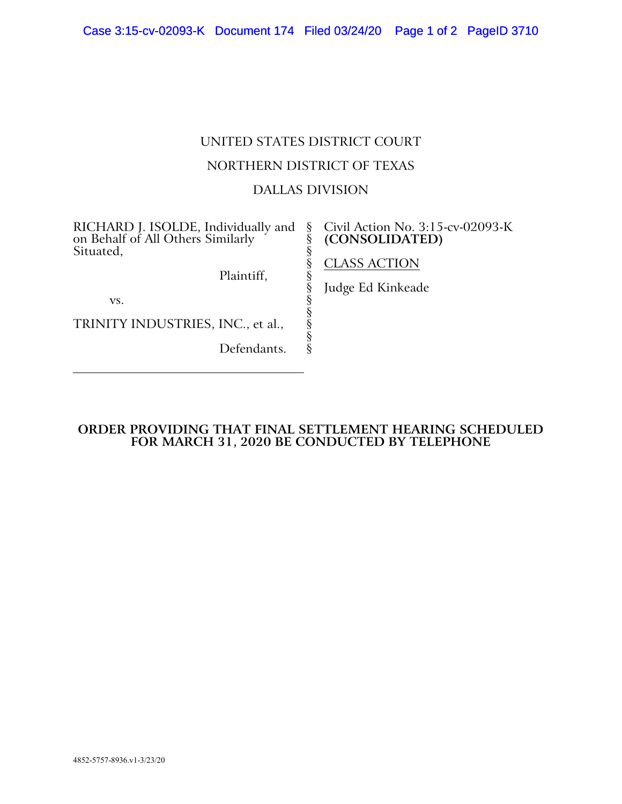# UNITED STATES DISTRICT COURT NORTHERN DISTRICT OF TEXAS DALLAS DIVISION

§ § § § § § § § § § §

### RICHARD J. ISOLDE, Individually and on Behalf of All Others Similarly Situated,

Civil Action No. 3:15-cv-02093-K **(CONSOLIDATED)**

Plaintiff,

vs.

TRINITY INDUSTRIES, INC., et al.,

Defendants.

## CLASS ACTION

Judge Ed Kinkeade

### **ORDER PROVIDING THAT FINAL SETTLEMENT HEARING SCHEDULED FOR MARCH 31, 2020 BE CONDUCTED BY TELEPHONE**